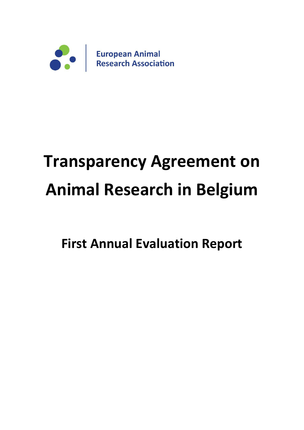

# **Transparency Agreement on Animal Research in Belgium**

**First Annual Evaluation Report**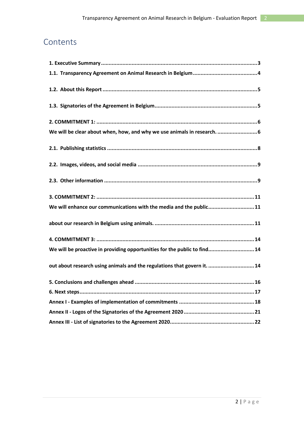## Contents

| We will be clear about when, how, and why we use animals in research.  6  |
|---------------------------------------------------------------------------|
|                                                                           |
|                                                                           |
|                                                                           |
|                                                                           |
| We will enhance our communications with the media and the public11        |
|                                                                           |
|                                                                           |
| We will be proactive in providing opportunities for the public to find 14 |
| out about research using animals and the regulations that govern it.  14  |
|                                                                           |
|                                                                           |
|                                                                           |
|                                                                           |
|                                                                           |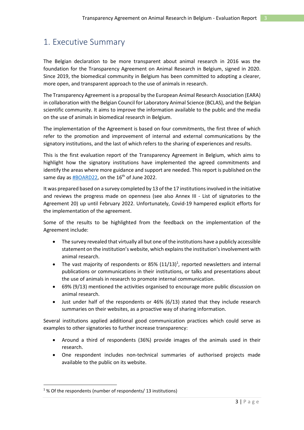## <span id="page-2-0"></span>1. Executive Summary

The Belgian declaration to be more transparent about animal research in 2016 was the foundation for the Transparency Agreement on Animal Research in Belgium, signed in 2020. Since 2019, the biomedical community in Belgium has been committed to adopting a clearer, more open, and transparent approach to the use of animals in research.

The Transparency Agreement is a proposal by the European Animal Research Association (EARA) in collaboration with the Belgian Council for Laboratory Animal Science (BCLAS), and the Belgian scientific community. It aims to improve the information available to the public and the media on the use of animals in biomedical research in Belgium.

The implementation of the Agreement is based on four commitments, the first three of which refer to the promotion and improvement of internal and external communications by the signatory institutions, and the last of which refers to the sharing of experiences and results.

This is the first evaluation report of the Transparency Agreement in Belgium, which aims to highlight how the signatory institutions have implemented the agreed commitments and identify the areas where more guidance and support are needed. This report is published on the same day as  $\text{\#BOARD22}$ , on the 16<sup>th</sup> of June 2022.

It was prepared based on a survey completed by 13 of the 17 institutions involved in the initiative and reviews the progress made on openness (see also Annex III - [List of signatories to the](#page-21-0)  [Agreement 20\)](#page-21-0) up until February 2022. Unfortunately, Covid-19 hampered explicit efforts for the implementation of the agreement.

Some of the results to be highlighted from the feedback on the implementation of the Agreement include:

- The survey revealed that virtually all but one of the institutions have a publicly accessible statement on the institution's website, which explains the institution's involvement with animal research.
- The vast majority of respondents or 85%  $(11/13)^1$ , reported newsletters and internal publications or communications in their institutions, or talks and presentations about the use of animals in research to promote internal communication.
- 69% (9/13) mentioned the activities organised to encourage more public discussion on animal research.
- Just under half of the respondents or 46% (6/13) stated that they include research summaries on their websites, as a proactive way of sharing information.

Several institutions applied additional good communication practices which could serve as examples to other signatories to further increase transparency:

- Around a third of respondents (36%) provide images of the animals used in their research.
- One respondent includes non-technical summaries of authorised projects made available to the public on its website.

<sup>1</sup> % Of the respondents (number of respondents/ 13 institutions)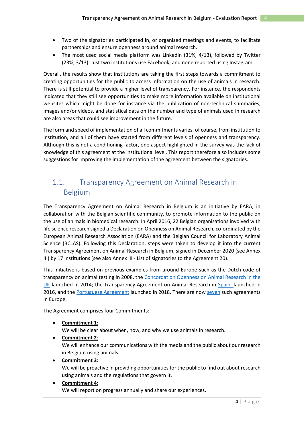- Two of the signatories participated in, or organised meetings and events, to facilitate partnerships and ensure openness around animal research.
- The most used social media platform was LinkedIn (31%, 4/13), followed by Twitter (23%, 3/13). Just two institutions use Facebook, and none reported using Instagram.

Overall, the results show that institutions are taking the first steps towards a commitment to creating opportunities for the public to access information on the use of animals in research. There is still potential to provide a higher level of transparency. For instance, the respondents indicated that they still see opportunities to make more information available on institutional websites which might be done for instance via the publication of non-technical summaries, images and/or videos, and statistical data on the number and type of animals used in research are also areas that could see improvement in the future.

The form and speed of implementation of all commitments varies, of course, from institution to institution, and all of them have started from different levels of openness and transparency. Although this is not a conditioning factor, one aspect highlighted in the survey was the lack of knowledge of this agreement at the institutional level. This report therefore also includes some suggestions for improving the implementation of the agreement between the signatories.

## <span id="page-3-0"></span>1.1. Transparency Agreement on Animal Research in Belgium

The Transparency Agreement on Animal Research in Belgium is an initiative by EARA, in collaboration with the Belgian scientific community, to promote information to the public on the use of animals in biomedical research. In April 2016, 22 Belgian organisations involved with life science research signed a Declaration on Openness on Animal Research, co-ordinated by the European Animal Research Association (EARA) and the Belgian Council for Laboratory Animal Science (BCLAS). Following this Declaration, steps were taken to develop it into the current Transparency Agreement on Animal Research in Belgium, signed in December 2020 (see Annex III) by 17 institutions (see also Annex III - [List of signatories to the Agreement 20\)](#page-21-0).

This initiative is based on previous examples from around Europe such as the Dutch code of transparency on animal testing in 2008, the [Concordat on Openness on Animal Research in the](http://concordatopenness.org.uk/)  [UK](http://concordatopenness.org.uk/) launched in 2014; the Transparency Agreement on Animal Research in [Spain,](https://cosce.org/acuerdo-de-transparencia/) launched in 2016, and th[e Portuguese Agreement](http://www.eara.eu/post/transparency-agreement-on-animal-research-in-portugal) launched in 2018. There are no[w seven](https://www.eara.eu/transparency-agreements) such agreements in Europe.

The Agreement comprises four Commitments:

• **Commitment 1:**

We will be clear about when, how, and why we use animals in research.

• **Commitment 2**:

We will enhance our communications with the media and the public about our research in Belgium using animals.

• **Commitment 3:**

We will be proactive in providing opportunities for the public to find out about research using animals and the regulations that govern it.

### • **Commitment 4:**

We will report on progress annually and share our experiences.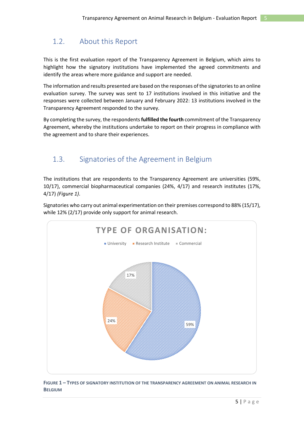## <span id="page-4-0"></span>1.2. About this Report

This is the first evaluation report of the Transparency Agreement in Belgium, which aims to highlight how the signatory institutions have implemented the agreed commitments and identify the areas where more guidance and support are needed.

The information and results presented are based on the responses of the signatories to an online evaluation survey. The survey was sent to 17 institutions involved in this initiative and the responses were collected between January and February 2022: 13 institutions involved in the Transparency Agreement responded to the survey.

By completing the survey, the respondents **fulfilled the fourth** commitment of the Transparency Agreement, whereby the institutions undertake to report on their progress in compliance with the agreement and to share their experiences.

## <span id="page-4-1"></span>1.3. Signatories of the Agreement in Belgium

The institutions that are respondents to the Transparency Agreement are universities (59%, 10/17), commercial biopharmaceutical companies (24%, 4/17) and research institutes (17%, 4/17) *[\(Figure 1\)](#page-4-2)*.

Signatories who carry out animal experimentation on their premises correspond to 88% (15/17), while 12% (2/17) provide only support for animal research.



<span id="page-4-2"></span>**FIGURE 1 – TYPES OF SIGNATORY INSTITUTION OF THE TRANSPARENCY AGREEMENT ON ANIMAL RESEARCH IN BELGIUM**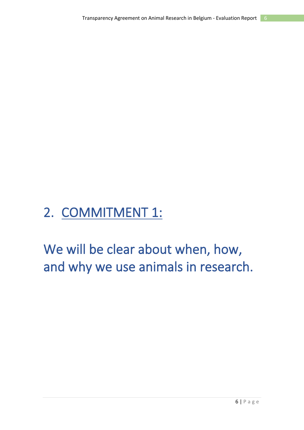## <span id="page-5-0"></span>2. COMMITMENT 1:

<span id="page-5-1"></span>We will be clear about when, how, and why we use animals in research.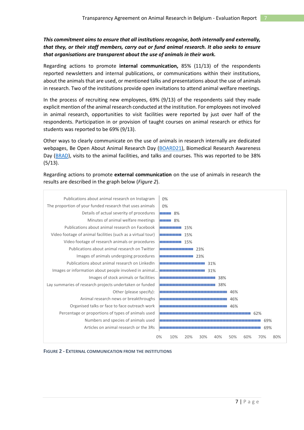### *This commitment aims to ensure that all institutions recognise, both internally and externally, that they, or their staff members, carry out or fund animal research. It also seeks to ensure that organisations are transparent about the use of animals in their work.*

Regarding actions to promote **internal communication,** 85% (11/13) of the respondents reported newsletters and internal publications, or communications within their institutions, about the animals that are used, or mentioned talks and presentations about the use of animals in research. Two of the institutions provide open invitations to attend animal welfare meetings.

In the process of recruiting new employees, 69% (9/13) of the respondents said they made explicit mention of the animal research conducted at the institution. For employees not involved in animal research, opportunities to visit facilities were reported by just over half of the respondents. Participation in or provision of taught courses on animal research or ethics for students was reported to be 69% (9/13).

Other ways to clearly communicate on the use of animals in research internally are dedicated webpages, Be Open About Animal Research Day [\(BOARD21\)](https://www.eara.eu/get-on-board21), Biomedical Research Awareness Day [\(BRAD\)](https://www.bradglobal.org/), visits to the animal facilities, and talks and courses. This was reported to be 38% (5/13).

Regarding actions to promote **external communication** on the use of animals in research the results are described in the graph below (*[Figure 2](#page-6-0)*).



<span id="page-6-0"></span>**FIGURE 2 - EXTERNAL COMMUNICATION FROM THE INSTITUTIONS**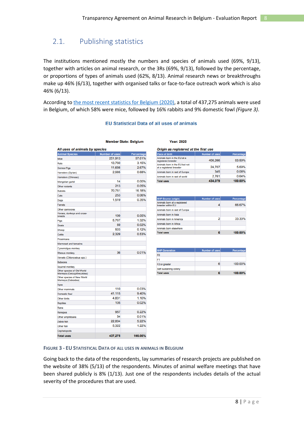## <span id="page-7-0"></span>2.1. Publishing statistics

The institutions mentioned mostly the numbers and species of animals used (69%, 9/13), together with articles on animal research, or the 3Rs (69%, 9/13), followed by the percentage, or proportions of types of animals used (62%, 8/13). Animal research news or breakthroughs make up 46% (6/13), together with organised talks or face-to-face outreach work which is also 46% (6/13).

According to the [most recent statistics for](https://assets.vlaanderen.be/image/upload/v1636361168/EU_statistieken_Belgie_2020_u9lq5r.pdf) Belgium (2020), a total of 437,275 animals were used in Belgium, of which 58% were mice, followed by 16% rabbits and 9% domestic fowl *[\(Figure 3\)](#page-7-1)*.

### **EU Statistical Data of all uses of animals**

| <b>Animal Species</b>                                    | <b>Number of uses</b> | Percentage |  |
|----------------------------------------------------------|-----------------------|------------|--|
| Mice                                                     | 251,913               | 57.61%     |  |
| Rats                                                     | 13.760                | 3.15%      |  |
| Guinea-Pigs                                              | 11,656                | 2.67%      |  |
| Hamsters (Syrian)                                        | 2.985                 | 0.68%      |  |
| Hamsters (Chinese)                                       |                       |            |  |
| Mongolian gerbil                                         | 14                    | $0.00\%$   |  |
| Other rodents                                            | 213                   | 0.05%      |  |
| <b>Rabbits</b>                                           | 70.761                | 16.18%     |  |
| Cats                                                     | 253                   | 0.06%      |  |
| Dogs                                                     | 1,519                 | 0.35%      |  |
| Ferrets                                                  |                       |            |  |
| Other carnivores                                         |                       |            |  |
| Horses, donkeys and cross-<br>breeds                     | 199                   | 0.05%      |  |
| Pigs                                                     | 5.767                 | 1.32%      |  |
| Goats                                                    | 69                    | 0.02%      |  |
| Sheep                                                    | 503                   | 0.12%      |  |
| Cattle                                                   | 2.329                 | 0.53%      |  |
| Prosimians                                               |                       |            |  |
| Marmoset and tamarins                                    |                       |            |  |
| Cynomolgus monkey                                        |                       |            |  |
| <b>Rhesus monkey</b>                                     | 36                    | 0.01%      |  |
| Vervets (Chlorocebus spp.)                               |                       |            |  |
| Baboons                                                  |                       |            |  |
| <b>Squirrel monkey</b>                                   |                       |            |  |
| Other species of Old World<br>Monkeys (Cercopithecoidea) |                       |            |  |
| Other species of New World<br>Monkeys (Ceboidea)         |                       |            |  |
| Apes                                                     |                       |            |  |
| Other mammals                                            | 110                   | 0.03%      |  |
| Domestic fowl                                            | 41,115                | 9.40%      |  |
| Other birds                                              | 4.831                 | 1.10%      |  |
| <b>Reptiles</b>                                          | 105                   | 0.02%      |  |
| Rana                                                     |                       |            |  |
| Xenopus                                                  | 957                   | 0.22%      |  |
| Other amphibians                                         | 54                    | 0.01%      |  |
| Zebra fish                                               | 22,804                | 5.22%      |  |
| Other fish                                               | 5,322                 | 1.22%      |  |
| Cephalopods                                              |                       |            |  |
| <b>Total uses</b>                                        | 437,275               | 100.00%    |  |

#### **Member State: Belgium**

### **Year: 2020**

| Origin as registered at the first use                     |                |            |  |
|-----------------------------------------------------------|----------------|------------|--|
| <b>Place of Birth</b>                                     | Number of uses | Percentage |  |
| Animals born in the EU at a<br>registered breeder         | 406,266        | 93.59%     |  |
| Animals born in the EU but not<br>at a registered breeder | 24.707         | 5.69%      |  |
| Animals born in rest of Europe                            | 345            | 0.08%      |  |
| Animals born in rest of world                             | 2,761          | 0.64%      |  |
| <b>Total uses</b>                                         | 434.079        | 100.00%    |  |

| <b>NHP Source (origin)</b>                        | <b>Number of uses</b> | Percentage |
|---------------------------------------------------|-----------------------|------------|
| Animals born at a registered<br>breeder within EU | 4                     | 66.67%     |
| Animals born in rest of Europe                    |                       |            |
| Animals born in Asia                              |                       |            |
| Animals born in America                           | 2                     | 33.33%     |
| Animals born in Africa                            |                       |            |
| Animals born elsewhere                            |                       |            |
| <b>Total uses</b>                                 |                       | 100.00%    |

| <b>NHP Generation</b>  | Number of uses | Percentage |
|------------------------|----------------|------------|
| F <sub>0</sub>         |                |            |
| F <sub>1</sub>         |                |            |
| F2 or greater          | 6              | 100.00%    |
| Self-sustaining colony |                |            |
| <b>Total uses</b>      | 6              | 100.00%    |

#### <span id="page-7-1"></span>**FIGURE 3 - EU STATISTICAL DATA OF ALL USES IN ANIMALS IN BELGIUM**

Going back to the data of the respondents, lay summaries of research projects are published on the website of 38% (5/13) of the respondents. Minutes of animal welfare meetings that have been shared publicly is 8% (1/13). Just one of the respondents includes details of the actual severity of the procedures that are used.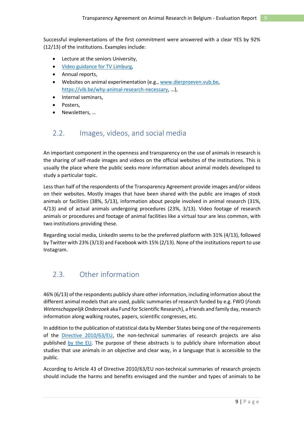Successful implementations of the first commitment were answered with a clear YES by 92% (12/13) of the institutions. Examples include:

- Lecture at the seniors University,
- [Video guidance for TV Limburg,](https://www.tvl.be/nieuws/exclusief-eerste-beelden-van-dierproeven-universiteit-hasselt-heeft-niks-te-verbergen-59771)
- Annual reports,
- Websites on animal experimentation (e.g.[, www.dierproeven.vub.be,](http://www.dierproeven.vub.be/) <https://vib.be/why-animal-research-necessary>, …),
- Internal seminars,
- Posters,
- Newsletters, …

### <span id="page-8-0"></span>2.2. Images, videos, and social media

An important component in the openness and transparency on the use of animals in research is the sharing of self-made images and videos on the official websites of the institutions. This is usually the place where the public seeks more information about animal models developed to study a particular topic.

Less than half of the respondents of the Transparency Agreement provide images and/or videos on their websites. Mostly images that have been shared with the public are images of stock animals or facilities (38%, 5/13), information about people involved in animal research (31%, 4/13) and of actual animals undergoing procedures (23%, 3/13). Video footage of research animals or procedures and footage of animal facilities like a virtual tour are less common, with two institutions providing these.

Regarding social media, LinkedIn seems to be the preferred platform with 31% (4/13), followed by Twitter with 23% (3/13) and Facebook with 15% (2/13). None of the institutions report to use Instagram.

### <span id="page-8-1"></span>2.3. Other information

46% (6/13) of the respondents publicly share other information, including information about the different animal models that are used, public summaries of research funded by e.g. FWO (*Fonds Wetenschappelijk Onderzoek* aka Fund for Scientific Research), a friends and family day, research information along walking routes, papers, scientific congresses, etc.

In addition to the publication of statistical data by Member States being one of the requirements of the [Directive 2010/63/EU,](https://eur-lex.europa.eu/legal-content/EN/TXT/PDF/?uri=CELEX:32010L0063&from=EN) the non-technical summaries of research projects are also published [by the EU.](https://ec.europa.eu/environment/chemicals/lab_animals/nts_en.htm) The purpose of these abstracts is to publicly share information about studies that use animals in an objective and clear way, in a language that is accessible to the public.

According to Article 43 of Directive 2010/63/EU non-technical summaries of research projects should include the harms and benefits envisaged and the number and types of animals to be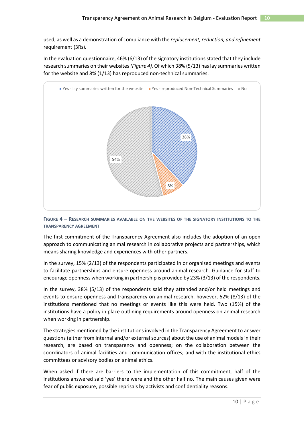used, as well as a demonstration of compliance with the *replacement, reduction, and refinement*  requirement (3Rs)*.*

In the evaluation questionnaire, 46% (6/13) of the signatory institutions stated that they include research summaries on their websites*[\(Figure 4\)](#page-9-0).* Of which 38% (5/13) has lay summaries written for the website and 8% (1/13) has reproduced non-technical summaries.



<span id="page-9-0"></span>**FIGURE 4 – RESEARCH SUMMARIES AVAILABLE ON THE WEBSITES OF THE SIGNATORY INSTITUTIONS TO THE TRANSPARENCY AGREEMENT** 

The first commitment of the Transparency Agreement also includes the adoption of an open approach to communicating animal research in collaborative projects and partnerships, which means sharing knowledge and experiences with other partners.

In the survey, 15% (2/13) of the respondents participated in or organised meetings and events to facilitate partnerships and ensure openness around animal research. Guidance for staff to encourage openness when working in partnership is provided by 23% (3/13) of the respondents.

In the survey, 38% (5/13) of the respondents said they attended and/or held meetings and events to ensure openness and transparency on animal research, however, 62% (8/13) of the institutions mentioned that no meetings or events like this were held. Two (15%) of the institutions have a policy in place outlining requirements around openness on animal research when working in partnership.

The strategies mentioned by the institutions involved in the Transparency Agreement to answer questions (either from internal and/or external sources) about the use of animal models in their research, are based on transparency and openness; on the collaboration between the coordinators of animal facilities and communication offices; and with the institutional ethics committees or advisory bodies on animal ethics.

When asked if there are barriers to the implementation of this commitment, half of the institutions answered said 'yes' there were and the other half no. The main causes given were fear of public exposure, possible reprisals by activists and confidentiality reasons.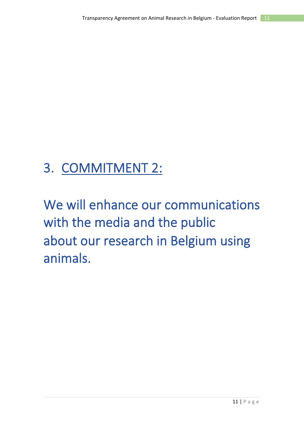## <span id="page-10-0"></span>3. COMMITMENT 2:

<span id="page-10-2"></span><span id="page-10-1"></span>We will enhance our communications with the media and the public about our research in Belgium using animals.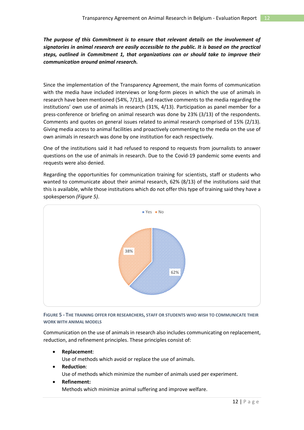*The purpose of this Commitment is to ensure that relevant details on the involvement of signatories in animal research are easily accessible to the public. It is based on the practical steps, outlined in Commitment 1, that organizations can or should take to improve their communication around animal research.*

Since the implementation of the Transparency Agreement, the main forms of communication with the media have included interviews or long-form pieces in which the use of animals in research have been mentioned (54%, 7/13), and reactive comments to the media regarding the institutions' own use of animals in research (31%, 4/13). Participation as panel member for a press-conference or briefing on animal research was done by 23% (3/13) of the respondents. Comments and quotes on general issues related to animal research comprised of 15% (2/13)*.* Giving media access to animal facilities and proactively commenting to the media on the use of own animals in research was done by one institution for each respectively.

One of the institutions said it had refused to respond to requests from journalists to answer questions on the use of animals in research. Due to the Covid-19 pandemic some events and requests were also denied.

Regarding the opportunities for communication training for scientists, staff or students who wanted to communicate about their animal research, 62% (8/13) of the institutions said that this is available, while those institutions which do not offer this type of training said they have a spokesperson *[\(Figure 5\)](#page-11-0)*.



<span id="page-11-0"></span>**FIGURE 5 - THE TRAINING OFFER FOR RESEARCHERS, STAFF OR STUDENTS WHO WISH TO COMMUNICATE THEIR WORK WITH ANIMAL MODELS**

Communication on the use of animals in research also includes communicating on replacement, reduction, and refinement principles. These principles consist of:

• **Replacement**:

Use of methods which avoid or replace the use of animals.

- **Reduction**: Use of methods which minimize the number of animals used per experiment.
- **Refinement:**

Methods which minimize animal suffering and improve welfare.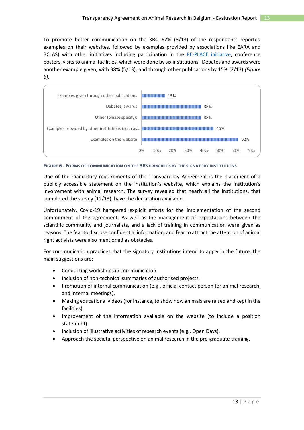To promote better communication on the 3Rs, 62% (8/13) of the respondents reported examples on their websites, followed by examples provided by associations like EARA and BCLAS) with other initiatives including participation in the [RE-PLACE initiative,](https://www.re-place.be/nl/over) conference posters, visits to animal facilities, which were done by six institutions. Debates and awards were another example given, with 38% (5/13), and through other publications by 15% (2/13) *[\(Figure](#page-12-0)  [6\)](#page-12-0).*



<span id="page-12-0"></span>**FIGURE 6 - FORMS OF COMMUNICATION ON THE 3RS PRINCIPLES BY THE SIGNATORY INSTITUTIONS**

One of the mandatory requirements of the Transparency Agreement is the placement of a publicly accessible statement on the institution's website, which explains the institution's involvement with animal research. The survey revealed that nearly all the institutions, that completed the survey (12/13), have the declaration available.

Unfortunately, Covid-19 hampered explicit efforts for the implementation of the second commitment of the agreement. As well as the management of expectations between the scientific community and journalists, and a lack of training in communication were given as reasons. The fear to disclose confidential information, and fear to attract the attention of animal right activists were also mentioned as obstacles.

For communication practices that the signatory institutions intend to apply in the future, the main suggestions are:

- Conducting workshops in communication.
- Inclusion of non-technical summaries of authorised projects.
- Promotion of internal communication (e.g., official contact person for animal research, and internal meetings).
- Making educational videos(for instance, to show how animals are raised and kept in the facilities).
- Improvement of the information available on the website (to include a position statement).
- Inclusion of illustrative activities of research events (e.g., Open Days).
- Approach the societal perspective on animal research in the pre-graduate training.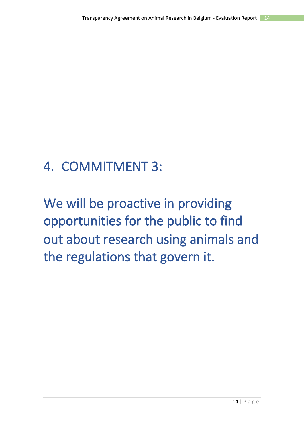## <span id="page-13-0"></span>4. COMMITMENT 3:

<span id="page-13-2"></span><span id="page-13-1"></span>We will be proactive in providing opportunities for the public to find out about research using animals and the regulations that govern it.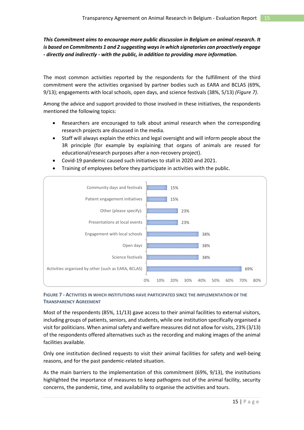### *This Commitment aims to encourage more public discussion in Belgium on animal research. It is based on Commitments 1 and 2 suggesting ways in which signatories can proactively engage - directly and indirectly - with the public, in addition to providing more information.*

The most common activities reported by the respondents for the fulfillment of the third commitment were the activities organised by partner bodies such as EARA and BCLAS (69%, 9/13); engagements with local schools, open days, and science festivals (38%, 5/13) *[\(Figure 7\)](#page-14-0)*.

Among the advice and support provided to those involved in these initiatives, the respondents mentioned the following topics:

- Researchers are encouraged to talk about animal research when the corresponding research projects are discussed in the media.
- Staff will always explain the ethics and legal oversight and will inform people about the 3R principle (for example by explaining that organs of animals are reused for educational/research purposes after a non-recovery project).
- Covid-19 pandemic caused such initiatives to stall in 2020 and 2021.
- Training of employees before they participate in activities with the public.



### <span id="page-14-0"></span>**FIGURE 7 - ACTIVITIES IN WHICH INSTITUTIONS HAVE PARTICIPATED SINCE THE IMPLEMENTATION OF THE TRANSPARENCY AGREEMENT**

Most of the respondents (85%, 11/13) gave access to their animal facilities to external visitors, including groups of patients, seniors, and students, while one institution specifically organised a visit for politicians. When animal safety and welfare measures did not allow for visits, 23% (3/13) of the respondents offered alternatives such as the recording and making images of the animal facilities available.

Only one institution declined requests to visit their animal facilities for safety and well-being reasons, and for the past pandemic-related situation.

As the main barriers to the implementation of this commitment (69%, 9/13), the institutions highlighted the importance of measures to keep pathogens out of the animal facility, security concerns, the pandemic, time, and availability to organise the activities and tours.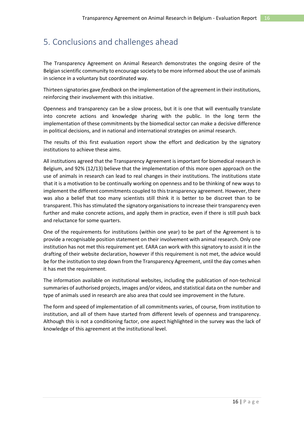## <span id="page-15-0"></span>5. Conclusions and challenges ahead

The Transparency Agreement on Animal Research demonstrates the ongoing desire of the Belgian scientific community to encourage society to be more informed about the use of animals in science in a voluntary but coordinated way.

Thirteen signatories gave *feedback* on the implementation of the agreement in their institutions, reinforcing their involvement with this initiative.

Openness and transparency can be a slow process, but it is one that will eventually translate into concrete actions and knowledge sharing with the public. In the long term the implementation of these commitments by the biomedical sector can make a decisive difference in political decisions, and in national and international strategies on animal research.

The results of this first evaluation report show the effort and dedication by the signatory institutions to achieve these aims.

All institutions agreed that the Transparency Agreement is important for biomedical research in Belgium, and 92% (12/13) believe that the implementation of this more open approach on the use of animals in research can lead to real changes in their institutions. The institutions state that it is a motivation to be continually working on openness and to be thinking of new ways to implement the different commitments coupled to this transparency agreement. However, there was also a belief that too many scientists still think it is better to be discreet than to be transparent. This has stimulated the signatory organisations to increase their transparency even further and make concrete actions, and apply them in practice, even if there is still push back and reluctance for some quarters.

One of the requirements for institutions (within one year) to be part of the Agreement is to provide a recognisable position statement on their involvement with animal research. Only one institution has not met this requirement yet. EARA can work with this signatory to assist it in the drafting of their website declaration, however if this requirement is not met, the advice would be for the institution to step down from the Transparency Agreement, until the day comes when it has met the requirement.

The information available on institutional websites, including the publication of non-technical summaries of authorised projects, images and/or videos, and statistical data on the number and type of animals used in research are also area that could see improvement in the future.

The form and speed of implementation of all commitments varies, of course, from institution to institution, and all of them have started from different levels of openness and transparency. Although this is not a conditioning factor, one aspect highlighted in the survey was the lack of knowledge of this agreement at the institutional level.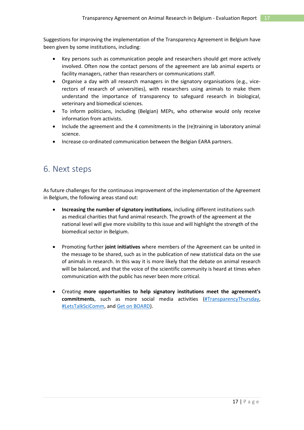Suggestions for improving the implementation of the Transparency Agreement in Belgium have been given by some institutions, including:

- Key persons such as communication people and researchers should get more actively involved. Often now the contact persons of the agreement are lab animal experts or facility managers, rather than researchers or communications staff.
- Organise a day with all research managers in the signatory organisations (e.g., vicerectors of research of universities), with researchers using animals to make them understand the importance of transparency to safeguard research in biological, veterinary and biomedical sciences.
- To inform politicians, including (Belgian) MEPs, who otherwise would only receive information from activists.
- Include the agreement and the 4 commitments in the (re)training in laboratory animal science.
- Increase co-ordinated communication between the Belgian EARA partners.

## <span id="page-16-0"></span>6. Next steps

As future challenges for the continuous improvement of the implementation of the Agreement in Belgium, the following areas stand out:

- **Increasing the number of signatory institutions**, including different institutions such as medical charities that fund animal research. The growth of the agreement at the national level will give more visibility to this issue and will highlight the strength of the biomedical sector in Belgium.
- Promoting further **joint initiatives** where members of the Agreement can be united in the message to be shared, such as in the publication of new statistical data on the use of animals in research. In this way it is more likely that the debate on animal research will be balanced, and that the voice of the scientific community is heard at times when communication with the public has never been more critical.
- Creating **more opportunities to help signatory institutions meet the agreement's commitments**, such as more social media activities [\(#TransparencyThursday,](https://www.youtube.com/playlist?list=PL1FpZbGkcq6heGx073HDPhhx27rWE9vK7) [#LetsTalkSciComm,](https://www.youtube.com/playlist?list=PL1FpZbGkcq6ioFz3HIL9_VMf75sCma1n6) and [Get on BOARD\)](https://www.youtube.com/playlist?list=PL1FpZbGkcq6inMMwu25bc1ULyTfRbE8up).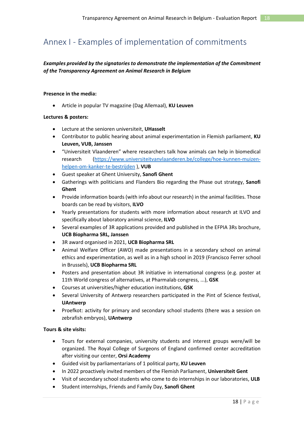## <span id="page-17-0"></span>Annex I - Examples of implementation of commitments

### *Examples provided by the signatories to demonstrate the implementation of the Commitment of the Transparency Agreement on Animal Research in Belgium*

### **Presence in the media:**

• Article in popular TV magazine (Dag Allemaal), **KU Leuven**

### **Lectures & posters:**

- Lecture at the senioren universiteit, **UHasselt**
- Contributor to public hearing about animal experimentation in Flemish parliament, **KU Leuven, VUB, Janssen**
- "Universiteit Vlaanderen" where researchers talk how animals can help in biomedical research [\(https://www.universiteitvanvlaanderen.be/college/hoe-kunnen-muizen](https://www.universiteitvanvlaanderen.be/college/hoe-kunnen-muizen-helpen-om-kanker-te-bestrijden)[helpen-om-kanker-te-bestrijden](https://www.universiteitvanvlaanderen.be/college/hoe-kunnen-muizen-helpen-om-kanker-te-bestrijden) ), **VUB**
- Guest speaker at Ghent University, **Sanofi Ghent**
- Gatherings with politicians and Flanders Bio regarding the Phase out strategy, **Sanofi Ghent**
- Provide information boards (with info about our research) in the animal facilities. Those boards can be read by visitors, **ILVO**
- Yearly presentations for students with more information about research at ILVO and specifically about laboratory animal science, **ILVO**
- Several examples of 3R applications provided and published in the EFPIA 3Rs brochure, **UCB Biopharma SRL, Janssen**
- 3R award organised in 2021, **UCB Biopharma SRL**
- Animal Welfare Officer (AWO) made presentations in a secondary school on animal ethics and experimentation, as well as in a high school in 2019 (Francisco Ferrer school in Brussels), **UCB Biopharma SRL**
- Posters and presentation about 3R initiative in international congress (e.g. poster at 11th World congress of alternatives, at Pharmalab congress, ...), **GSK**
- Courses at universities/higher education institutions, **GSK**
- Several University of Antwerp researchers participated in the Pint of Science festival, **UAntwerp**
- Proefkot: activity for primary and secondary school students (there was a session on zebrafish embryos), **UAntwerp**

### **Tours & site visits:**

- Tours for external companies, university students and interest groups were/will be organized. The Royal College of Surgeons of England confirmed center accreditation after visiting our center, **Orsi Academy**
- Guided visit by parliamentarians of 1 political party, **KU Leuven**
- In 2022 proactively invited members of the Flemish Parliament, **Universiteit Gent**
- Visit of secondary school students who come to do internships in our laboratories, **ULB**
- Student internships, Friends and Family Day, **Sanofi Ghent**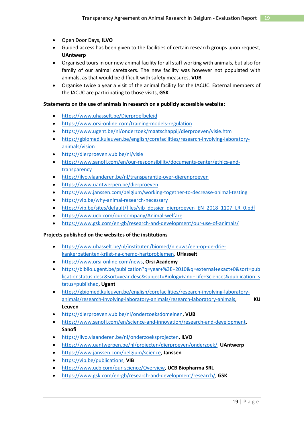- Open Door Days, **ILVO**
- Guided access has been given to the facilities of certain research groups upon request, **UAntwerp**
- Organised tours in our new animal facility for all staff working with animals, but also for family of our animal caretakers. The new facility was however not populated with animals, as that would be difficult with safety measures, **VUB**
- Organise twice a year a visit of the animal facility for the IACUC. External members of the IACUC are participating to those visits, **GSK**

#### **Statements on the use of animals in research on a publicly accessible website:**

- <https://www.uhasselt.be/Dierproefbeleid>
- <https://www.orsi-online.com/training-models-regulation>
- <https://www.ugent.be/nl/onderzoek/maatschappij/dierproeven/visie.htm>
- [https://gbiomed.kuleuven.be/english/corefacilities/research-involving-laboratory](https://gbiomed.kuleuven.be/english/corefacilities/research-involving-laboratory-animals/vision)[animals/vision](https://gbiomed.kuleuven.be/english/corefacilities/research-involving-laboratory-animals/vision)
- <https://dierproeven.vub.be/nl/visie>
- [https://www.sanofi.com/en/our-responsibility/documents-center/ethics-and](https://www.sanofi.com/en/our-responsibility/documents-center/ethics-and-transparency)[transparency](https://www.sanofi.com/en/our-responsibility/documents-center/ethics-and-transparency)
- <https://ilvo.vlaanderen.be/nl/transparantie-over-dierenproeven>
- <https://www.uantwerpen.be/dierproeven>
- <https://www.janssen.com/belgium/working-together-to-decrease-animal-testing>
- <https://vib.be/why-animal-research-necessary>
- [https://vib.be/sites/default/files/vib\\_dossier\\_dierproeven\\_EN\\_2018\\_1107\\_LR\\_0.pdf](https://vib.be/sites/default/files/vib_dossier_dierproeven_EN_2018_1107_LR_0.pdf)
- <https://www.ucb.com/our-company/Animal-welfare>
- <https://www.gsk.com/en-gb/research-and-development/our-use-of-animals/>

### **Projects published on the websites of the institutions**

- [https://www.uhasselt.be/nl/instituten/biomed/nieuws/een-op-de-drie](https://www.uhasselt.be/nl/instituten/biomed/nieuws/een-op-de-drie-kankerpatienten-krijgt-na-chemo-hartproblemen)[kankerpatienten-krijgt-na-chemo-hartproblemen,](https://www.uhasselt.be/nl/instituten/biomed/nieuws/een-op-de-drie-kankerpatienten-krijgt-na-chemo-hartproblemen) **UHasselt**
- [https://www.orsi-online.com/news,](https://www.orsi-online.com/news) **Orsi Academy**
- [https://biblio.ugent.be/publication?q=year+%3E+2010&q=external+exact+0&sort=pub](https://biblio.ugent.be/publication?q=year+%3E+2010&q=external+exact+0&sort=publicationstatus.desc&sort=year.desc&subject=Biology+and+Life+Sciences&publication_status=published) [licationstatus.desc&sort=year.desc&subject=Biology+and+Life+Sciences&publication\\_s](https://biblio.ugent.be/publication?q=year+%3E+2010&q=external+exact+0&sort=publicationstatus.desc&sort=year.desc&subject=Biology+and+Life+Sciences&publication_status=published) [tatus=published,](https://biblio.ugent.be/publication?q=year+%3E+2010&q=external+exact+0&sort=publicationstatus.desc&sort=year.desc&subject=Biology+and+Life+Sciences&publication_status=published) **Ugent**
- [https://gbiomed.kuleuven.be/english/corefacilities/research-involving-laboratory](https://gbiomed.kuleuven.be/english/corefacilities/research-involving-laboratory-animals/research-involving-laboratory-animals/research-laboratory-animals)[animals/research-involving-laboratory-animals/research-laboratory-animals,](https://gbiomed.kuleuven.be/english/corefacilities/research-involving-laboratory-animals/research-involving-laboratory-animals/research-laboratory-animals) **KU Leuven**
- [https://dierproeven.vub.be/nl/onderzoeksdomeinen,](https://dierproeven.vub.be/nl/onderzoeksdomeinen) **VUB**
- [https://www.sanofi.com/en/science-and-innovation/research-and-development,](https://www.sanofi.com/en/science-and-innovation/research-and-development) **Sanofi**
- [https://ilvo.vlaanderen.be/nl/onderzoeksprojecten,](https://ilvo.vlaanderen.be/nl/onderzoeksprojecten) **ILVO**
- [https://www.uantwerpen.be/nl/projecten/dierproeven/onderzoek/,](https://www.uantwerpen.be/nl/projecten/dierproeven/onderzoek/) **UAntwerp**
- [https://www.janssen.com/belgium/science,](https://www.janssen.com/belgium/science) **Janssen**
- [https://vib.be/publications,](https://vib.be/publications) **VIB**
- [https://www.ucb.com/our-science/Overview,](https://www.ucb.com/our-science/Overview) **UCB Biopharma SRL**
- [https://www.gsk.com/en-gb/research-and-development/research/,](https://www.gsk.com/en-gb/research-and-development/research/) **GSK**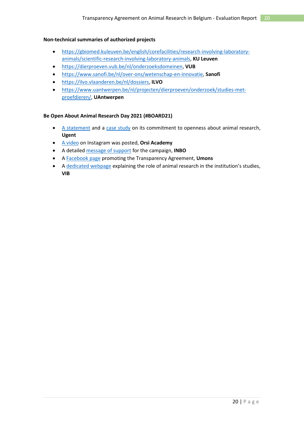### **Non-technical summaries of authorized projects**

- [https://gbiomed.kuleuven.be/english/corefacilities/research-involving-laboratory](https://gbiomed.kuleuven.be/english/corefacilities/research-involving-laboratory-animals/scientific-research-involving-laboratory-animals)[animals/scientific-research-involving-laboratory-animals,](https://gbiomed.kuleuven.be/english/corefacilities/research-involving-laboratory-animals/scientific-research-involving-laboratory-animals) **KU Leuven**
- [https://dierproeven.vub.be/nl/onderzoeksdomeinen,](https://dierproeven.vub.be/nl/onderzoeksdomeinen) **VUB**
- [https://www.sanofi.be/nl/over-ons/wetenschap-en-innovatie,](https://www.sanofi.be/nl/over-ons/wetenschap-en-innovatie) **Sanofi**
- [https://ilvo.vlaanderen.be/nl/dossiers,](https://ilvo.vlaanderen.be/nl/dossiers) **ILVO**
- [https://www.uantwerpen.be/nl/projecten/dierproeven/onderzoek/studies-met](https://www.uantwerpen.be/nl/projecten/dierproeven/onderzoek/studies-met-proefdieren/)[proefdieren/,](https://www.uantwerpen.be/nl/projecten/dierproeven/onderzoek/studies-met-proefdieren/) **UAntwerpen**

### **Be Open About Animal Research Day 2021 (#BOARD21)**

- [A statement](https://www.eara.eu/post/be-open-about-animal-research-day-2021-partner-organisations-statements) and a [case study](https://www.ugent.be/en/research/science-society/labanimals/overview.htm) on its commitment to openness about animal research, **Ugent**
- [A video](https://www.youtube.com/watch?v=4S00fW7BxLg&list=PL1FpZbGkcq6inMMwu25bc1ULyTfRbE8up&index=3) on Instagram was posted, **Orsi Academy**
- A detailed [message of support](https://purews.inbo.be/ws/portalfiles/portal/39723992/Juli_2021.pdf) for the campaign, **INBO**
- A [Facebook page](https://www.facebook.com/UMONSRechercheInnovation/photos/a.2095353687167556/4038706596165579/) promoting the Transparency Agreement, **Umons**
- A [dedicated webpage](https://vib.be/news/be-open-about-animal-research) explaining the role of animal research in the institution's studies, **VIB**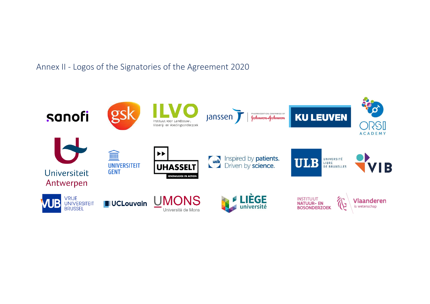Annex II - Logos of the Signatories of the Agreement 2020

<span id="page-20-0"></span>